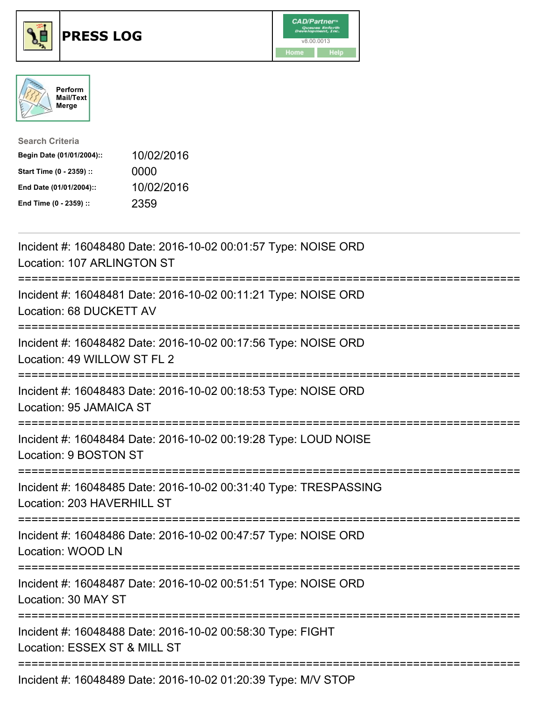





| <b>Search Criteria</b>    |            |
|---------------------------|------------|
| Begin Date (01/01/2004):: | 10/02/2016 |
| Start Time (0 - 2359) ::  | 0000       |
| End Date (01/01/2004)::   | 10/02/2016 |
| End Time (0 - 2359) ::    | 2359       |

| Incident #: 16048480 Date: 2016-10-02 00:01:57 Type: NOISE ORD<br>Location: 107 ARLINGTON ST   |
|------------------------------------------------------------------------------------------------|
| Incident #: 16048481 Date: 2016-10-02 00:11:21 Type: NOISE ORD<br>Location: 68 DUCKETT AV      |
| Incident #: 16048482 Date: 2016-10-02 00:17:56 Type: NOISE ORD<br>Location: 49 WILLOW ST FL 2  |
| Incident #: 16048483 Date: 2016-10-02 00:18:53 Type: NOISE ORD<br>Location: 95 JAMAICA ST      |
| Incident #: 16048484 Date: 2016-10-02 00:19:28 Type: LOUD NOISE<br>Location: 9 BOSTON ST       |
| Incident #: 16048485 Date: 2016-10-02 00:31:40 Type: TRESPASSING<br>Location: 203 HAVERHILL ST |
| Incident #: 16048486 Date: 2016-10-02 00:47:57 Type: NOISE ORD<br>Location: WOOD LN            |
| Incident #: 16048487 Date: 2016-10-02 00:51:51 Type: NOISE ORD<br>Location: 30 MAY ST          |
| Incident #: 16048488 Date: 2016-10-02 00:58:30 Type: FIGHT<br>Location: ESSEX ST & MILL ST     |
| Incident #: 16048489 Date: 2016-10-02 01:20:39 Type: M/V STOP                                  |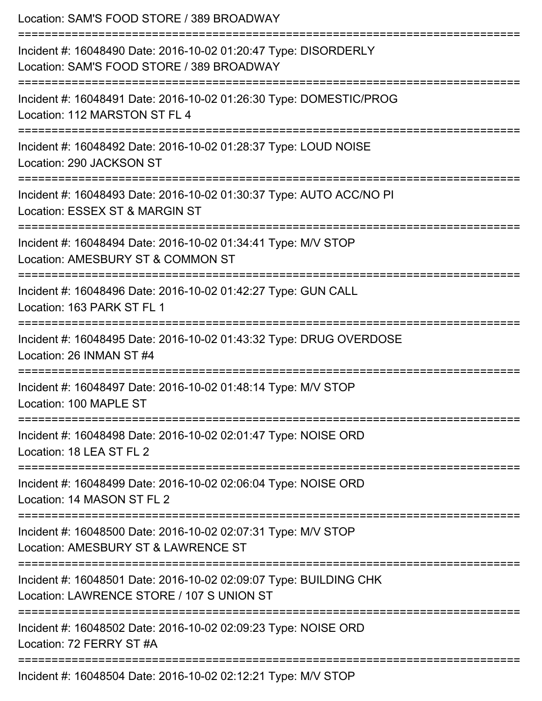| Location: SAM'S FOOD STORE / 389 BROADWAY<br>===================================                                                          |
|-------------------------------------------------------------------------------------------------------------------------------------------|
| Incident #: 16048490 Date: 2016-10-02 01:20:47 Type: DISORDERLY<br>Location: SAM'S FOOD STORE / 389 BROADWAY<br>:======================== |
| Incident #: 16048491 Date: 2016-10-02 01:26:30 Type: DOMESTIC/PROG<br>Location: 112 MARSTON ST FL 4                                       |
| Incident #: 16048492 Date: 2016-10-02 01:28:37 Type: LOUD NOISE<br>Location: 290 JACKSON ST                                               |
| Incident #: 16048493 Date: 2016-10-02 01:30:37 Type: AUTO ACC/NO PI<br>Location: ESSEX ST & MARGIN ST                                     |
| Incident #: 16048494 Date: 2016-10-02 01:34:41 Type: M/V STOP<br>Location: AMESBURY ST & COMMON ST                                        |
| -----------------------------<br>Incident #: 16048496 Date: 2016-10-02 01:42:27 Type: GUN CALL<br>Location: 163 PARK ST FL 1              |
| Incident #: 16048495 Date: 2016-10-02 01:43:32 Type: DRUG OVERDOSE<br>Location: 26 INMAN ST #4                                            |
| Incident #: 16048497 Date: 2016-10-02 01:48:14 Type: M/V STOP<br>Location: 100 MAPLE ST                                                   |
| Incident #: 16048498 Date: 2016-10-02 02:01:47 Type: NOISE ORD<br>Location: 18 LEA ST FL 2                                                |
| Incident #: 16048499 Date: 2016-10-02 02:06:04 Type: NOISE ORD<br>Location: 14 MASON ST FL 2                                              |
| Incident #: 16048500 Date: 2016-10-02 02:07:31 Type: M/V STOP<br>Location: AMESBURY ST & LAWRENCE ST                                      |
| Incident #: 16048501 Date: 2016-10-02 02:09:07 Type: BUILDING CHK<br>Location: LAWRENCE STORE / 107 S UNION ST                            |
| Incident #: 16048502 Date: 2016-10-02 02:09:23 Type: NOISE ORD<br>Location: 72 FERRY ST #A                                                |
| Incident #: 16048504 Date: 2016-10-02 02:12:21 Type: M/V STOP                                                                             |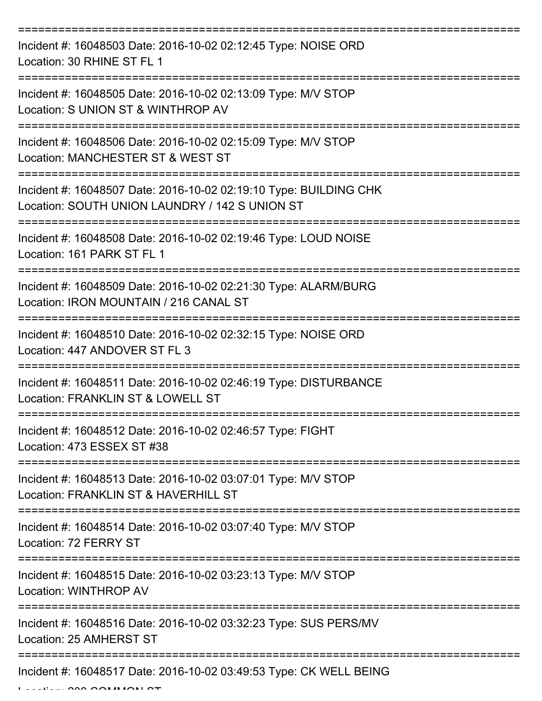| Incident #: 16048503 Date: 2016-10-02 02:12:45 Type: NOISE ORD<br>Location: 30 RHINE ST FL 1                        |
|---------------------------------------------------------------------------------------------------------------------|
| Incident #: 16048505 Date: 2016-10-02 02:13:09 Type: M/V STOP<br>Location: S UNION ST & WINTHROP AV                 |
| Incident #: 16048506 Date: 2016-10-02 02:15:09 Type: M/V STOP<br>Location: MANCHESTER ST & WEST ST                  |
| Incident #: 16048507 Date: 2016-10-02 02:19:10 Type: BUILDING CHK<br>Location: SOUTH UNION LAUNDRY / 142 S UNION ST |
| Incident #: 16048508 Date: 2016-10-02 02:19:46 Type: LOUD NOISE<br>Location: 161 PARK ST FL 1                       |
| Incident #: 16048509 Date: 2016-10-02 02:21:30 Type: ALARM/BURG<br>Location: IRON MOUNTAIN / 216 CANAL ST           |
| Incident #: 16048510 Date: 2016-10-02 02:32:15 Type: NOISE ORD<br>Location: 447 ANDOVER ST FL 3                     |
| Incident #: 16048511 Date: 2016-10-02 02:46:19 Type: DISTURBANCE<br>Location: FRANKLIN ST & LOWELL ST               |
| Incident #: 16048512 Date: 2016-10-02 02:46:57 Type: FIGHT<br>Location: 473 ESSEX ST #38                            |
| Incident #: 16048513 Date: 2016-10-02 03:07:01 Type: M/V STOP<br>Location: FRANKLIN ST & HAVERHILL ST               |
| Incident #: 16048514 Date: 2016-10-02 03:07:40 Type: M/V STOP<br>Location: 72 FERRY ST<br>===================       |
| Incident #: 16048515 Date: 2016-10-02 03:23:13 Type: M/V STOP<br>Location: WINTHROP AV                              |
| Incident #: 16048516 Date: 2016-10-02 03:32:23 Type: SUS PERS/MV<br>Location: 25 AMHERST ST                         |
| Incident #: 16048517 Date: 2016-10-02 03:49:53 Type: CK WELL BEING                                                  |

 $L = L$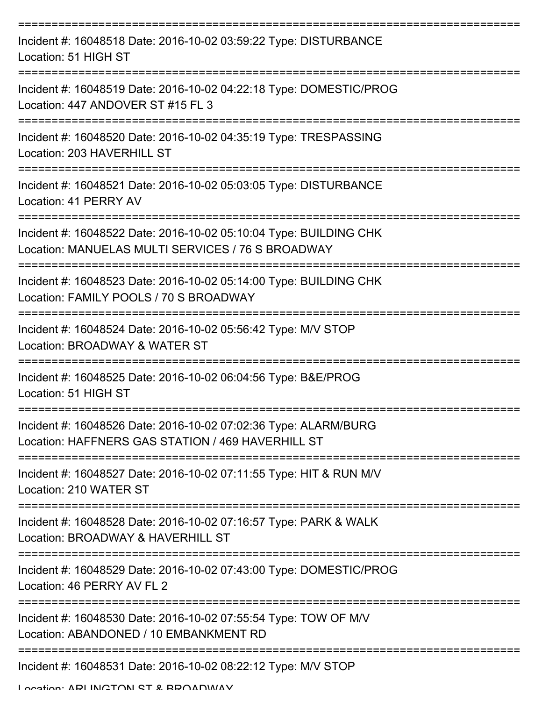| Incident #: 16048518 Date: 2016-10-02 03:59:22 Type: DISTURBANCE<br>Location: 51 HIGH ST                                      |
|-------------------------------------------------------------------------------------------------------------------------------|
| Incident #: 16048519 Date: 2016-10-02 04:22:18 Type: DOMESTIC/PROG<br>Location: 447 ANDOVER ST #15 FL 3                       |
| Incident #: 16048520 Date: 2016-10-02 04:35:19 Type: TRESPASSING<br>Location: 203 HAVERHILL ST                                |
| Incident #: 16048521 Date: 2016-10-02 05:03:05 Type: DISTURBANCE<br>Location: 41 PERRY AV                                     |
| Incident #: 16048522 Date: 2016-10-02 05:10:04 Type: BUILDING CHK<br>Location: MANUELAS MULTI SERVICES / 76 S BROADWAY        |
| Incident #: 16048523 Date: 2016-10-02 05:14:00 Type: BUILDING CHK<br>Location: FAMILY POOLS / 70 S BROADWAY<br>-------------- |
| Incident #: 16048524 Date: 2016-10-02 05:56:42 Type: M/V STOP<br>Location: BROADWAY & WATER ST                                |
| Incident #: 16048525 Date: 2016-10-02 06:04:56 Type: B&E/PROG<br>Location: 51 HIGH ST                                         |
| Incident #: 16048526 Date: 2016-10-02 07:02:36 Type: ALARM/BURG<br>Location: HAFFNERS GAS STATION / 469 HAVERHILL ST          |
| Incident #: 16048527 Date: 2016-10-02 07:11:55 Type: HIT & RUN M/V<br>Location: 210 WATER ST                                  |
| Incident #: 16048528 Date: 2016-10-02 07:16:57 Type: PARK & WALK<br>Location: BROADWAY & HAVERHILL ST                         |
| Incident #: 16048529 Date: 2016-10-02 07:43:00 Type: DOMESTIC/PROG<br>Location: 46 PERRY AV FL 2                              |
| Incident #: 16048530 Date: 2016-10-02 07:55:54 Type: TOW OF M/V<br>Location: ABANDONED / 10 EMBANKMENT RD                     |
| Incident #: 16048531 Date: 2016-10-02 08:22:12 Type: M/V STOP                                                                 |

Location: ADI INCTON ST & BDOADWAY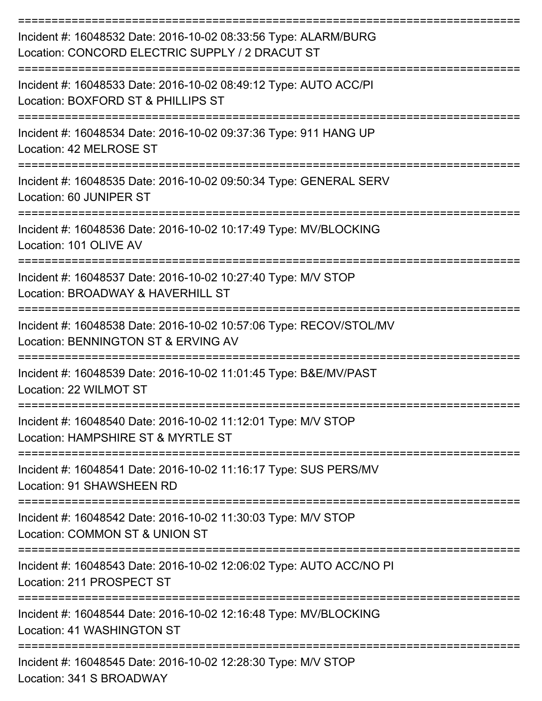| Incident #: 16048532 Date: 2016-10-02 08:33:56 Type: ALARM/BURG<br>Location: CONCORD ELECTRIC SUPPLY / 2 DRACUT ST |
|--------------------------------------------------------------------------------------------------------------------|
| Incident #: 16048533 Date: 2016-10-02 08:49:12 Type: AUTO ACC/PI<br>Location: BOXFORD ST & PHILLIPS ST             |
| Incident #: 16048534 Date: 2016-10-02 09:37:36 Type: 911 HANG UP<br>Location: 42 MELROSE ST                        |
| Incident #: 16048535 Date: 2016-10-02 09:50:34 Type: GENERAL SERV<br>Location: 60 JUNIPER ST                       |
| Incident #: 16048536 Date: 2016-10-02 10:17:49 Type: MV/BLOCKING<br>Location: 101 OLIVE AV                         |
| Incident #: 16048537 Date: 2016-10-02 10:27:40 Type: M/V STOP<br>Location: BROADWAY & HAVERHILL ST                 |
| Incident #: 16048538 Date: 2016-10-02 10:57:06 Type: RECOV/STOL/MV<br>Location: BENNINGTON ST & ERVING AV          |
| Incident #: 16048539 Date: 2016-10-02 11:01:45 Type: B&E/MV/PAST<br>Location: 22 WILMOT ST                         |
| Incident #: 16048540 Date: 2016-10-02 11:12:01 Type: M/V STOP<br>Location: HAMPSHIRE ST & MYRTLE ST                |
| Incident #: 16048541 Date: 2016-10-02 11:16:17 Type: SUS PERS/MV<br>Location: 91 SHAWSHEEN RD                      |
| Incident #: 16048542 Date: 2016-10-02 11:30:03 Type: M/V STOP<br>Location: COMMON ST & UNION ST                    |
| Incident #: 16048543 Date: 2016-10-02 12:06:02 Type: AUTO ACC/NO PI<br>Location: 211 PROSPECT ST                   |
| Incident #: 16048544 Date: 2016-10-02 12:16:48 Type: MV/BLOCKING<br>Location: 41 WASHINGTON ST                     |
| Incident #: 16048545 Date: 2016-10-02 12:28:30 Type: M/V STOP<br>Location: 341 S BROADWAY                          |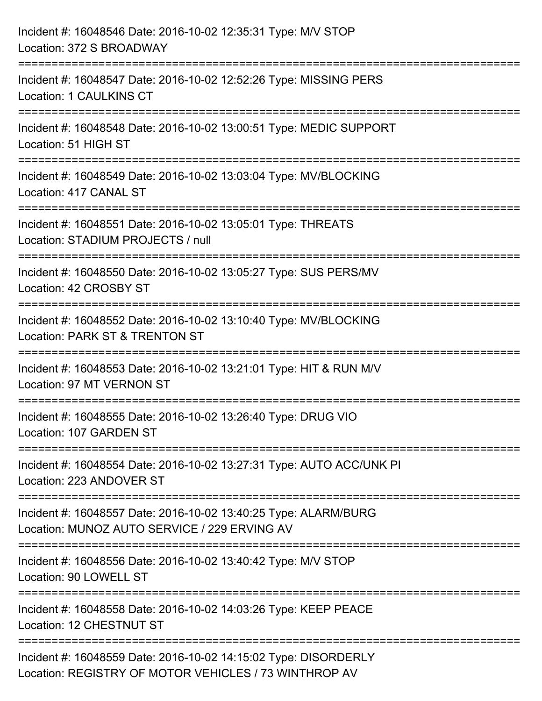| Incident #: 16048546 Date: 2016-10-02 12:35:31 Type: M/V STOP<br>Location: 372 S BROADWAY                                |
|--------------------------------------------------------------------------------------------------------------------------|
| Incident #: 16048547 Date: 2016-10-02 12:52:26 Type: MISSING PERS<br>Location: 1 CAULKINS CT                             |
| Incident #: 16048548 Date: 2016-10-02 13:00:51 Type: MEDIC SUPPORT<br>Location: 51 HIGH ST                               |
| Incident #: 16048549 Date: 2016-10-02 13:03:04 Type: MV/BLOCKING<br>Location: 417 CANAL ST                               |
| Incident #: 16048551 Date: 2016-10-02 13:05:01 Type: THREATS<br>Location: STADIUM PROJECTS / null                        |
| Incident #: 16048550 Date: 2016-10-02 13:05:27 Type: SUS PERS/MV<br>Location: 42 CROSBY ST                               |
| Incident #: 16048552 Date: 2016-10-02 13:10:40 Type: MV/BLOCKING<br>Location: PARK ST & TRENTON ST                       |
| Incident #: 16048553 Date: 2016-10-02 13:21:01 Type: HIT & RUN M/V<br>Location: 97 MT VERNON ST                          |
| Incident #: 16048555 Date: 2016-10-02 13:26:40 Type: DRUG VIO<br>Location: 107 GARDEN ST                                 |
| Incident #: 16048554 Date: 2016-10-02 13:27:31 Type: AUTO ACC/UNK PI<br>Location: 223 ANDOVER ST                         |
| Incident #: 16048557 Date: 2016-10-02 13:40:25 Type: ALARM/BURG<br>Location: MUNOZ AUTO SERVICE / 229 ERVING AV          |
| Incident #: 16048556 Date: 2016-10-02 13:40:42 Type: M/V STOP<br>Location: 90 LOWELL ST                                  |
| Incident #: 16048558 Date: 2016-10-02 14:03:26 Type: KEEP PEACE<br>Location: 12 CHESTNUT ST                              |
| Incident #: 16048559 Date: 2016-10-02 14:15:02 Type: DISORDERLY<br>Location: REGISTRY OF MOTOR VEHICLES / 73 WINTHROP AV |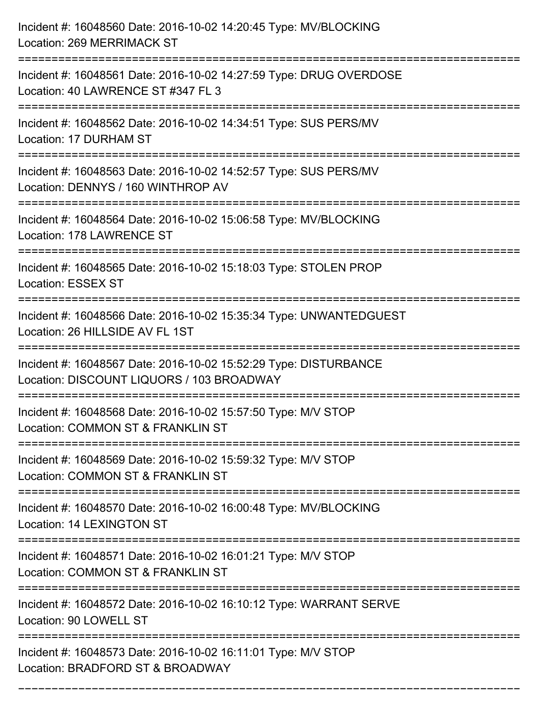| Incident #: 16048560 Date: 2016-10-02 14:20:45 Type: MV/BLOCKING<br>Location: 269 MERRIMACK ST                                     |
|------------------------------------------------------------------------------------------------------------------------------------|
| ======================<br>Incident #: 16048561 Date: 2016-10-02 14:27:59 Type: DRUG OVERDOSE<br>Location: 40 LAWRENCE ST #347 FL 3 |
| Incident #: 16048562 Date: 2016-10-02 14:34:51 Type: SUS PERS/MV<br>Location: 17 DURHAM ST                                         |
| Incident #: 16048563 Date: 2016-10-02 14:52:57 Type: SUS PERS/MV<br>Location: DENNYS / 160 WINTHROP AV                             |
| Incident #: 16048564 Date: 2016-10-02 15:06:58 Type: MV/BLOCKING<br>Location: 178 LAWRENCE ST                                      |
| Incident #: 16048565 Date: 2016-10-02 15:18:03 Type: STOLEN PROP<br><b>Location: ESSEX ST</b>                                      |
| Incident #: 16048566 Date: 2016-10-02 15:35:34 Type: UNWANTEDGUEST<br>Location: 26 HILLSIDE AV FL 1ST                              |
| Incident #: 16048567 Date: 2016-10-02 15:52:29 Type: DISTURBANCE<br>Location: DISCOUNT LIQUORS / 103 BROADWAY                      |
| Incident #: 16048568 Date: 2016-10-02 15:57:50 Type: M/V STOP<br>Location: COMMON ST & FRANKLIN ST                                 |
| Incident #: 16048569 Date: 2016-10-02 15:59:32 Type: M/V STOP<br>Location: COMMON ST & FRANKLIN ST                                 |
| Incident #: 16048570 Date: 2016-10-02 16:00:48 Type: MV/BLOCKING<br>Location: 14 LEXINGTON ST                                      |
| Incident #: 16048571 Date: 2016-10-02 16:01:21 Type: M/V STOP<br>Location: COMMON ST & FRANKLIN ST                                 |
| Incident #: 16048572 Date: 2016-10-02 16:10:12 Type: WARRANT SERVE<br>Location: 90 LOWELL ST                                       |
| Incident #: 16048573 Date: 2016-10-02 16:11:01 Type: M/V STOP<br>Location: BRADFORD ST & BROADWAY                                  |

===========================================================================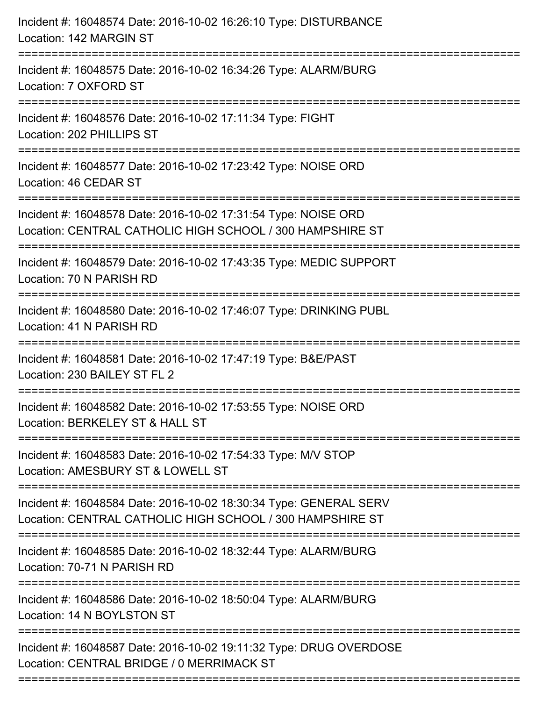| Incident #: 16048574 Date: 2016-10-02 16:26:10 Type: DISTURBANCE<br>Location: 142 MARGIN ST                                    |
|--------------------------------------------------------------------------------------------------------------------------------|
| =======================<br>Incident #: 16048575 Date: 2016-10-02 16:34:26 Type: ALARM/BURG<br>Location: 7 OXFORD ST            |
| Incident #: 16048576 Date: 2016-10-02 17:11:34 Type: FIGHT<br>Location: 202 PHILLIPS ST                                        |
| Incident #: 16048577 Date: 2016-10-02 17:23:42 Type: NOISE ORD<br>Location: 46 CEDAR ST                                        |
| Incident #: 16048578 Date: 2016-10-02 17:31:54 Type: NOISE ORD<br>Location: CENTRAL CATHOLIC HIGH SCHOOL / 300 HAMPSHIRE ST    |
| Incident #: 16048579 Date: 2016-10-02 17:43:35 Type: MEDIC SUPPORT<br>Location: 70 N PARISH RD                                 |
| Incident #: 16048580 Date: 2016-10-02 17:46:07 Type: DRINKING PUBL<br>Location: 41 N PARISH RD                                 |
| Incident #: 16048581 Date: 2016-10-02 17:47:19 Type: B&E/PAST<br>Location: 230 BAILEY ST FL 2                                  |
| Incident #: 16048582 Date: 2016-10-02 17:53:55 Type: NOISE ORD<br>Location: BERKELEY ST & HALL ST                              |
| Incident #: 16048583 Date: 2016-10-02 17:54:33 Type: M/V STOP<br>Location: AMESBURY ST & LOWELL ST                             |
| Incident #: 16048584 Date: 2016-10-02 18:30:34 Type: GENERAL SERV<br>Location: CENTRAL CATHOLIC HIGH SCHOOL / 300 HAMPSHIRE ST |
| Incident #: 16048585 Date: 2016-10-02 18:32:44 Type: ALARM/BURG<br>Location: 70-71 N PARISH RD                                 |
| Incident #: 16048586 Date: 2016-10-02 18:50:04 Type: ALARM/BURG<br>Location: 14 N BOYLSTON ST                                  |
| Incident #: 16048587 Date: 2016-10-02 19:11:32 Type: DRUG OVERDOSE<br>Location: CENTRAL BRIDGE / 0 MERRIMACK ST                |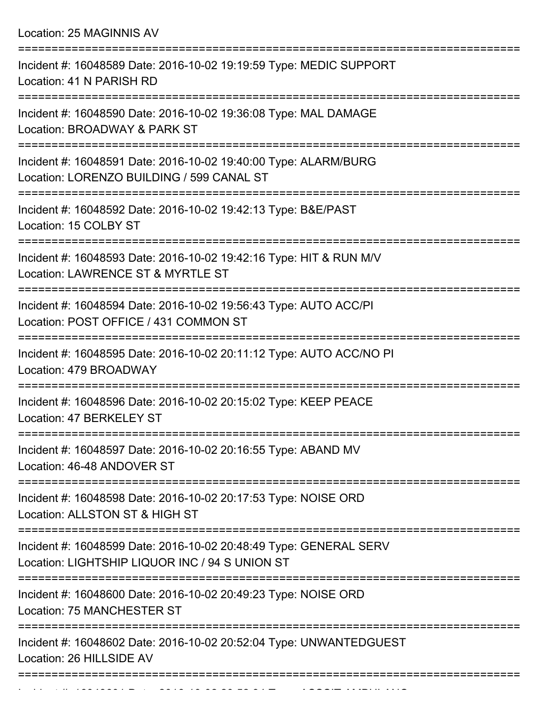Location: 25 MAGINNIS AV

| Incident #: 16048589 Date: 2016-10-02 19:19:59 Type: MEDIC SUPPORT<br>Location: 41 N PARISH RD                      |
|---------------------------------------------------------------------------------------------------------------------|
| Incident #: 16048590 Date: 2016-10-02 19:36:08 Type: MAL DAMAGE<br>Location: BROADWAY & PARK ST                     |
| Incident #: 16048591 Date: 2016-10-02 19:40:00 Type: ALARM/BURG<br>Location: LORENZO BUILDING / 599 CANAL ST        |
| Incident #: 16048592 Date: 2016-10-02 19:42:13 Type: B&E/PAST<br>Location: 15 COLBY ST                              |
| Incident #: 16048593 Date: 2016-10-02 19:42:16 Type: HIT & RUN M/V<br>Location: LAWRENCE ST & MYRTLE ST             |
| Incident #: 16048594 Date: 2016-10-02 19:56:43 Type: AUTO ACC/PI<br>Location: POST OFFICE / 431 COMMON ST           |
| Incident #: 16048595 Date: 2016-10-02 20:11:12 Type: AUTO ACC/NO PI<br>Location: 479 BROADWAY                       |
| Incident #: 16048596 Date: 2016-10-02 20:15:02 Type: KEEP PEACE<br>Location: 47 BERKELEY ST                         |
| Incident #: 16048597 Date: 2016-10-02 20:16:55 Type: ABAND MV<br>Location: 46-48 ANDOVER ST                         |
| Incident #: 16048598 Date: 2016-10-02 20:17:53 Type: NOISE ORD<br>Location: ALLSTON ST & HIGH ST                    |
| Incident #: 16048599 Date: 2016-10-02 20:48:49 Type: GENERAL SERV<br>Location: LIGHTSHIP LIQUOR INC / 94 S UNION ST |
| Incident #: 16048600 Date: 2016-10-02 20:49:23 Type: NOISE ORD<br>Location: 75 MANCHESTER ST                        |
| Incident #: 16048602 Date: 2016-10-02 20:52:04 Type: UNWANTEDGUEST<br>Location: 26 HILLSIDE AV                      |
|                                                                                                                     |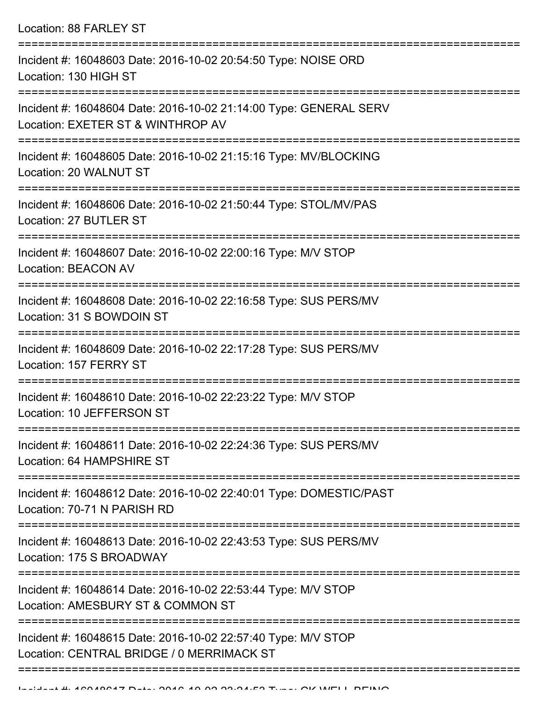| Incident #: 16048603 Date: 2016-10-02 20:54:50 Type: NOISE ORD<br>Location: 130 HIGH ST                    |
|------------------------------------------------------------------------------------------------------------|
| Incident #: 16048604 Date: 2016-10-02 21:14:00 Type: GENERAL SERV<br>Location: EXETER ST & WINTHROP AV     |
| Incident #: 16048605 Date: 2016-10-02 21:15:16 Type: MV/BLOCKING<br>Location: 20 WALNUT ST                 |
| Incident #: 16048606 Date: 2016-10-02 21:50:44 Type: STOL/MV/PAS<br>Location: 27 BUTLER ST                 |
| Incident #: 16048607 Date: 2016-10-02 22:00:16 Type: M/V STOP<br><b>Location: BEACON AV</b>                |
| Incident #: 16048608 Date: 2016-10-02 22:16:58 Type: SUS PERS/MV<br>Location: 31 S BOWDOIN ST              |
| Incident #: 16048609 Date: 2016-10-02 22:17:28 Type: SUS PERS/MV<br>Location: 157 FERRY ST                 |
| Incident #: 16048610 Date: 2016-10-02 22:23:22 Type: M/V STOP<br>Location: 10 JEFFERSON ST                 |
| Incident #: 16048611 Date: 2016-10-02 22:24:36 Type: SUS PERS/MV<br>Location: 64 HAMPSHIRE ST              |
| Incident #: 16048612 Date: 2016-10-02 22:40:01 Type: DOMESTIC/PAST<br>Location: 70-71 N PARISH RD          |
| Incident #: 16048613 Date: 2016-10-02 22:43:53 Type: SUS PERS/MV<br>Location: 175 S BROADWAY               |
| Incident #: 16048614 Date: 2016-10-02 22:53:44 Type: M/V STOP<br>Location: AMESBURY ST & COMMON ST         |
| Incident #: 16048615 Date: 2016-10-02 22:57:40 Type: M/V STOP<br>Location: CENTRAL BRIDGE / 0 MERRIMACK ST |
|                                                                                                            |